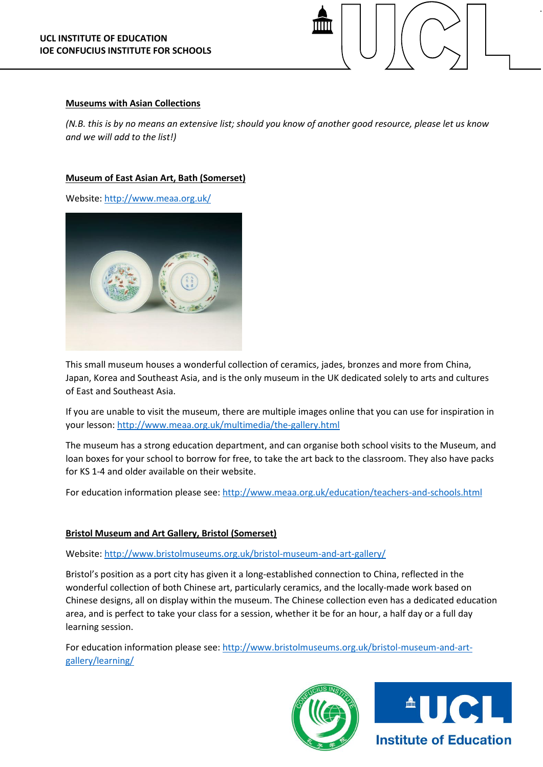

#### **Museums with Asian Collections**

*(N.B. this is by no means an extensive list; should you know of another good resource, please let us know and we will add to the list!)*

### **Museum of East Asian Art, Bath (Somerset)**

Website[: http://www.meaa.org.uk/](http://www.meaa.org.uk/)



This small museum houses a wonderful collection of ceramics, jades, bronzes and more from China, Japan, Korea and Southeast Asia, and is the only museum in the UK dedicated solely to arts and cultures of East and Southeast Asia.

If you are unable to visit the museum, there are multiple images online that you can use for inspiration in your lesson[: http://www.meaa.org.uk/multimedia/the-gallery.html](http://www.meaa.org.uk/multimedia/the-gallery.html)

The museum has a strong education department, and can organise both school visits to the Museum, and loan boxes for your school to borrow for free, to take the art back to the classroom. They also have packs for KS 1-4 and older available on their website.

For education information please see:<http://www.meaa.org.uk/education/teachers-and-schools.html>

## **Bristol Museum and Art Gallery, Bristol (Somerset)**

#### Website[: http://www.bristolmuseums.org.uk/bristol-museum-and-art-gallery/](http://www.bristolmuseums.org.uk/bristol-museum-and-art-gallery/)

Bristol's position as a port city has given it a long-established connection to China, reflected in the wonderful collection of both Chinese art, particularly ceramics, and the locally-made work based on Chinese designs, all on display within the museum. The Chinese collection even has a dedicated education area, and is perfect to take your class for a session, whether it be for an hour, a half day or a full day learning session.

For education information please see: [http://www.bristolmuseums.org.uk/bristol-museum-and-art](http://www.bristolmuseums.org.uk/bristol-museum-and-art-gallery/learning/)[gallery/learning/](http://www.bristolmuseums.org.uk/bristol-museum-and-art-gallery/learning/)



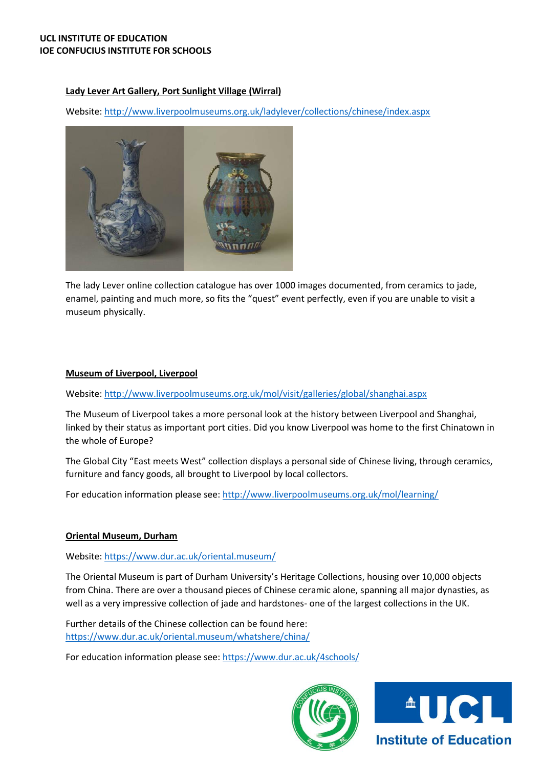# **Lady Lever Art Gallery, Port Sunlight Village (Wirral)**

Website[: http://www.liverpoolmuseums.org.uk/ladylever/collections/chinese/index.aspx](http://www.liverpoolmuseums.org.uk/ladylever/collections/chinese/index.aspx)



The lady Lever online collection catalogue has over 1000 images documented, from ceramics to jade, enamel, painting and much more, so fits the "quest" event perfectly, even if you are unable to visit a museum physically.

# **Museum of Liverpool, Liverpool**

Website[: http://www.liverpoolmuseums.org.uk/mol/visit/galleries/global/shanghai.aspx](http://www.liverpoolmuseums.org.uk/mol/visit/galleries/global/shanghai.aspx)

The Museum of Liverpool takes a more personal look at the history between Liverpool and Shanghai, linked by their status as important port cities. Did you know Liverpool was home to the first Chinatown in the whole of Europe?

The Global City "East meets West" collection displays a personal side of Chinese living, through ceramics, furniture and fancy goods, all brought to Liverpool by local collectors.

For education information please see: <http://www.liverpoolmuseums.org.uk/mol/learning/>

## **Oriental Museum, Durham**

Website: <https://www.dur.ac.uk/oriental.museum/>

The Oriental Museum is part of Durham University's Heritage Collections, housing over 10,000 objects from China. There are over a thousand pieces of Chinese ceramic alone, spanning all major dynasties, as well as a very impressive collection of jade and hardstones- one of the largest collections in the UK.

Further details of the Chinese collection can be found here: <https://www.dur.ac.uk/oriental.museum/whatshere/china/>

For education information please see:<https://www.dur.ac.uk/4schools/>



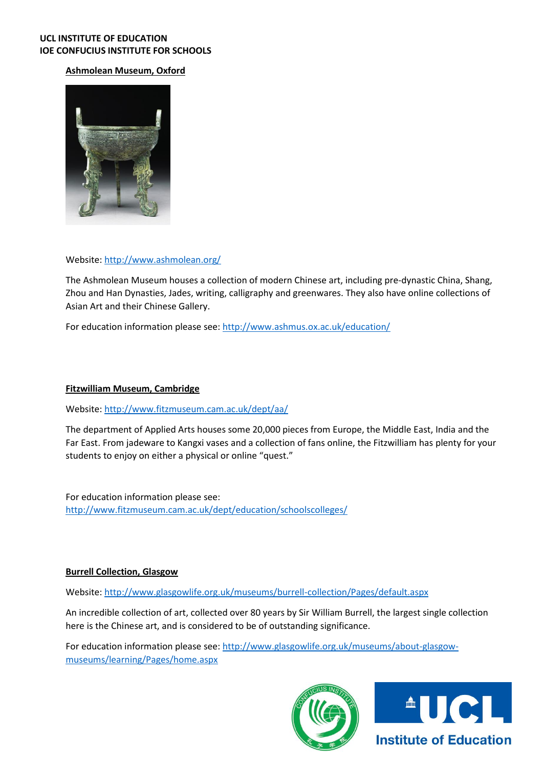### **UCL INSTITUTE OF EDUCATION IOE CONFUCIUS INSTITUTE FOR SCHOOLS**

# **Ashmolean Museum, Oxford**



### Website: <http://www.ashmolean.org/>

The Ashmolean Museum houses a collection of modern Chinese art, including pre-dynastic China, Shang, Zhou and Han Dynasties, Jades, writing, calligraphy and greenwares. They also have online collections of Asian Art and their Chinese Gallery.

For education information please see: <http://www.ashmus.ox.ac.uk/education/>

## **Fitzwilliam Museum, Cambridge**

Website[: http://www.fitzmuseum.cam.ac.uk/dept/aa/](http://www.fitzmuseum.cam.ac.uk/dept/aa/)

The department of Applied Arts houses some 20,000 pieces from Europe, the Middle East, India and the Far East. From jadeware to Kangxi vases and a collection of fans online, the Fitzwilliam has plenty for your students to enjoy on either a physical or online "quest."

For education information please see: <http://www.fitzmuseum.cam.ac.uk/dept/education/schoolscolleges/>

#### **Burrell Collection, Glasgow**

Website[: http://www.glasgowlife.org.uk/museums/burrell-collection/Pages/default.aspx](http://www.glasgowlife.org.uk/museums/burrell-collection/Pages/default.aspx)

An incredible collection of art, collected over 80 years by Sir William Burrell, the largest single collection here is the Chinese art, and is considered to be of outstanding significance.

For education information please see: [http://www.glasgowlife.org.uk/museums/about-glasgow](http://www.glasgowlife.org.uk/museums/about-glasgow-museums/learning/Pages/home.aspx)[museums/learning/Pages/home.aspx](http://www.glasgowlife.org.uk/museums/about-glasgow-museums/learning/Pages/home.aspx)



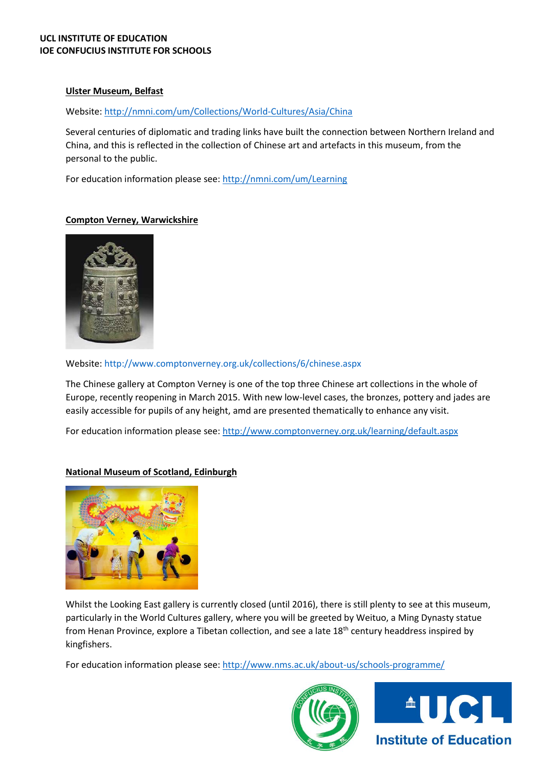### **UCL INSTITUTE OF EDUCATION IOE CONFUCIUS INSTITUTE FOR SCHOOLS**

### **Ulster Museum, Belfast**

### Website[: http://nmni.com/um/Collections/World-Cultures/Asia/China](http://nmni.com/um/Collections/World-Cultures/Asia/China)

Several centuries of diplomatic and trading links have built the connection between Northern Ireland and China, and this is reflected in the collection of Chinese art and artefacts in this museum, from the personal to the public.

For education information please see: <http://nmni.com/um/Learning>

### **Compton Verney, Warwickshire**



Website[: http://www.comptonverney.org.uk/collections/6/chinese.aspx](http://www.comptonverney.org.uk/collections/6/chinese.aspx)

The Chinese gallery at Compton Verney is one of the top three Chinese art collections in the whole of Europe, recently reopening in March 2015. With new low-level cases, the bronzes, pottery and jades are easily accessible for pupils of any height, amd are presented thematically to enhance any visit.

For education information please see: <http://www.comptonverney.org.uk/learning/default.aspx>

## **National Museum of Scotland, Edinburgh**



Whilst the Looking East gallery is currently closed (until 2016), there is still plenty to see at this museum, particularly in the World Cultures gallery, where you will be greeted by Weituo, a Ming Dynasty statue from Henan Province, explore a Tibetan collection, and see a late 18<sup>th</sup> century headdress inspired by kingfishers.

For education information please see: <http://www.nms.ac.uk/about-us/schools-programme/>